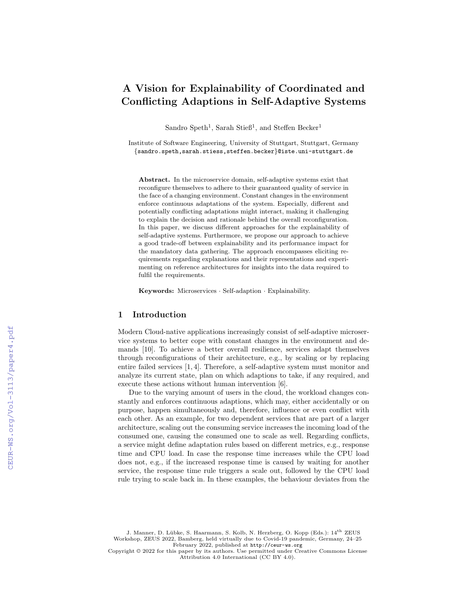# A Vision for Explainability of Coordinated and Conflicting Adaptions in Self-Adaptive Systems

Sandro Speth<sup>1</sup>, Sarah Stieß<sup>1</sup>, and Steffen Becker<sup>1</sup>

Institute of Software Engineering, University of Stuttgart, Stuttgart, Germany {sandro.speth,sarah.stiess,steffen.becker}@iste.uni-stuttgart.de

Abstract. In the microservice domain, self-adaptive systems exist that reconfigure themselves to adhere to their guaranteed quality of service in the face of a changing environment. Constant changes in the environment enforce continuous adaptations of the system. Especially, different and potentially conflicting adaptations might interact, making it challenging to explain the decision and rationale behind the overall reconfiguration. In this paper, we discuss different approaches for the explainability of self-adaptive systems. Furthermore, we propose our approach to achieve a good trade-off between explainability and its performance impact for the mandatory data gathering. The approach encompasses eliciting requirements regarding explanations and their representations and experimenting on reference architectures for insights into the data required to fulfil the requirements.

Keywords: Microservices · Self-adaption · Explainability.

# 1 Introduction

Modern Cloud-native applications increasingly consist of self-adaptive microservice systems to better cope with constant changes in the environment and demands [10]. To achieve a better overall resilience, services adapt themselves through reconfigurations of their architecture, e.g., by scaling or by replacing entire failed services [1, 4]. Therefore, a self-adaptive system must monitor and analyze its current state, plan on which adaptions to take, if any required, and execute these actions without human intervention [6].

Due to the varying amount of users in the cloud, the workload changes constantly and enforces continuous adaptions, which may, either accidentally or on purpose, happen simultaneously and, therefore, influence or even conflict with each other. As an example, for two dependent services that are part of a larger architecture, scaling out the consuming service increases the incoming load of the consumed one, causing the consumed one to scale as well. Regarding conflicts, a service might define adaptation rules based on different metrics, e.g., response time and CPU load. In case the response time increases while the CPU load does not, e.g., if the increased response time is caused by waiting for another service, the response time rule triggers a scale out, followed by the CPU load rule trying to scale back in. In these examples, the behaviour deviates from the

J. Manner, D. Lübke, S. Haarmann, S. Kolb, N. Herzberg, O. Kopp (Eds.): 14th ZEUS Workshop, ZEUS 2022, Bamberg, held virtually due to Covid-19 pandemic, Germany, 24–25 February 2022, published at <http://ceur-ws.org>

Copyright © 2022 for this paper by its authors. Use permitted under Creative Commons License Attribution 4.0 International (CC BY 4.0).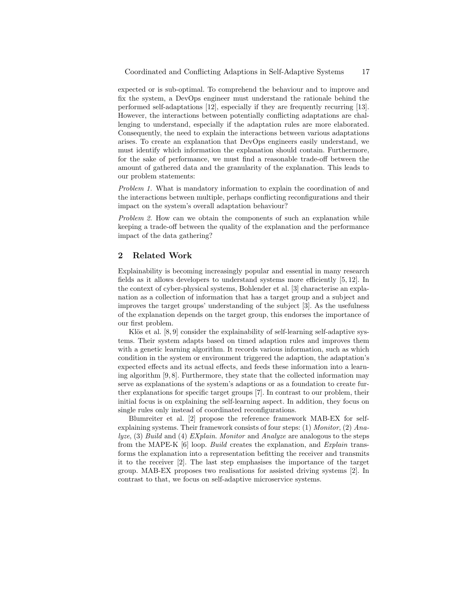expected or is sub-optimal. To comprehend the behaviour and to improve and fix the system, a DevOps engineer must understand the rationale behind the performed self-adaptations [12], especially if they are frequently recurring [13]. However, the interactions between potentially conflicting adaptations are challenging to understand, especially if the adaptation rules are more elaborated. Consequently, the need to explain the interactions between various adaptations arises. To create an explanation that DevOps engineers easily understand, we must identify which information the explanation should contain. Furthermore, for the sake of performance, we must find a reasonable trade-off between the amount of gathered data and the granularity of the explanation. This leads to our problem statements:

Problem 1. What is mandatory information to explain the coordination of and the interactions between multiple, perhaps conflicting reconfigurations and their impact on the system's overall adaptation behaviour?

Problem 2. How can we obtain the components of such an explanation while keeping a trade-off between the quality of the explanation and the performance impact of the data gathering?

## 2 Related Work

Explainability is becoming increasingly popular and essential in many research fields as it allows developers to understand systems more efficiently [5, 12]. In the context of cyber-physical systems, Bohlender et al. [3] characterise an explanation as a collection of information that has a target group and a subject and improves the target groups' understanding of the subject [3]. As the usefulness of the explanation depends on the target group, this endorses the importance of our first problem.

Klös et al.  $[8, 9]$  consider the explainability of self-learning self-adaptive systems. Their system adapts based on timed adaption rules and improves them with a genetic learning algorithm. It records various information, such as which condition in the system or environment triggered the adaption, the adaptation's expected effects and its actual effects, and feeds these information into a learning algorithm [9, 8]. Furthermore, they state that the collected information may serve as explanations of the system's adaptions or as a foundation to create further explanations for specific target groups [7]. In contrast to our problem, their initial focus is on explaining the self-learning aspect. In addition, they focus on single rules only instead of coordinated reconfigurations.

Blumreiter et al. [2] propose the reference framework MAB-EX for selfexplaining systems. Their framework consists of four steps:  $(1)$  Monitor,  $(2)$  Ana $lyze, (3) Build and (4) *EXplain. Monitor* and *Analyze* are analogous to the steps$ from the MAPE-K [6] loop. Build creates the explanation, and Explain transforms the explanation into a representation befitting the receiver and transmits it to the receiver [2]. The last step emphasises the importance of the target group. MAB-EX proposes two realisations for assisted driving systems [2]. In contrast to that, we focus on self-adaptive microservice systems.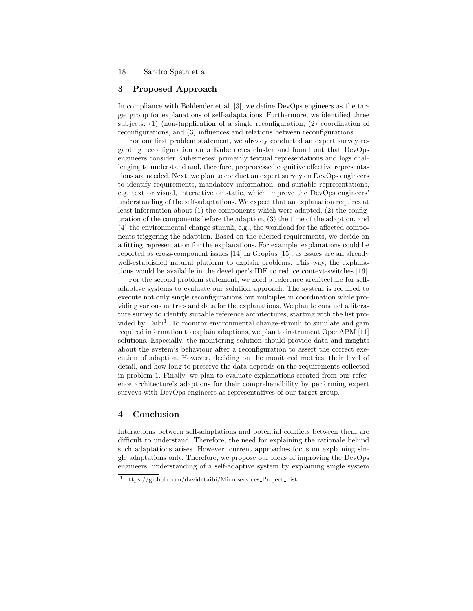18 Sandro Speth et al.

#### 3 Proposed Approach

In compliance with Bohlender et al. [3], we define DevOps engineers as the target group for explanations of self-adaptations. Furthermore, we identified three subjects: (1) (non-)application of a single reconfiguration, (2) coordination of reconfigurations, and (3) influences and relations between reconfigurations.

For our first problem statement, we already conducted an expert survey regarding reconfiguration on a Kubernetes cluster and found out that DevOps engineers consider Kubernetes' primarily textual representations and logs challenging to understand and, therefore, preprocessed cognitive effective representations are needed. Next, we plan to conduct an expert survey on DevOps engineers to identify requirements, mandatory information, and suitable representations, e.g. text or visual, interactive or static, which improve the DevOps engineers' understanding of the self-adaptations. We expect that an explanation requires at least information about (1) the components which were adapted, (2) the configuration of the components before the adaption, (3) the time of the adaption, and (4) the environmental change stimuli, e.g., the workload for the affected components triggering the adaption. Based on the elicited requirements, we decide on a fitting representation for the explanations. For example, explanations could be reported as cross-component issues [14] in Gropius [15], as issues are an already well-established natural platform to explain problems. This way, the explanations would be available in the developer's IDE to reduce context-switches [16].

For the second problem statement, we need a reference architecture for selfadaptive systems to evaluate our solution approach. The system is required to execute not only single reconfigurations but multiples in coordination while providing various metrics and data for the explanations. We plan to conduct a literature survey to identify suitable reference architectures, starting with the list provided by Taibi<sup>1</sup>. To monitor environmental change-stimuli to simulate and gain required information to explain adaptions, we plan to instrument OpenAPM [11] solutions. Especially, the monitoring solution should provide data and insights about the system's behaviour after a reconfiguration to assert the correct execution of adaption. However, deciding on the monitored metrics, their level of detail, and how long to preserve the data depends on the requirements collected in problem 1. Finally, we plan to evaluate explanations created from our reference architecture's adaptions for their comprehensibility by performing expert surveys with DevOps engineers as representatives of our target group.

#### 4 Conclusion

Interactions between self-adaptations and potential conflicts between them are difficult to understand. Therefore, the need for explaining the rationale behind such adaptations arises. However, current approaches focus on explaining single adaptations only. Therefore, we propose our ideas of improving the DevOps engineers' understanding of a self-adaptive system by explaining single system

<sup>&</sup>lt;sup>1</sup> https://github.com/davidetaibi/Microservices\_Project\_List